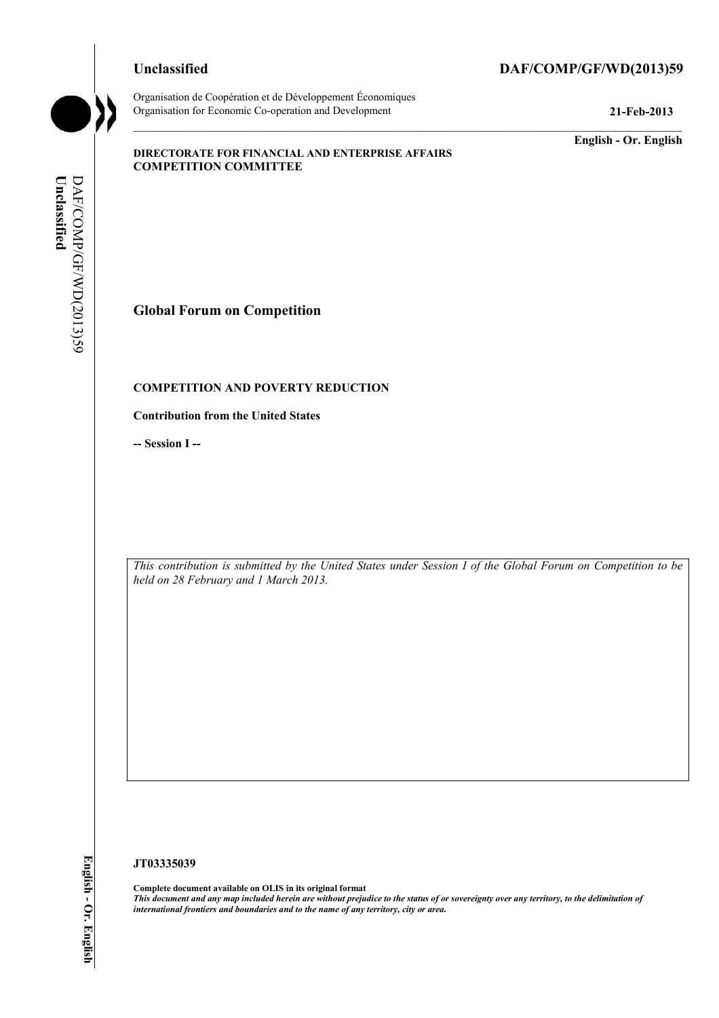Organisation de Coopération et de Développement Économiques Organisation for Economic Co-operation and Development **21-Feb-2013** 

# **Unclassified DAF/COMP/GF/WD(2013)59**

**English - Or. English** 

#### **DIRECTORATE FOR FINANCIAL AND ENTERPRISE AFFAIRS COMPETITION COMMITTEE**

DAF/COMP/GF/WD(2013)59 Unclassified **Unclassified**  DAF/COMP/GF/WD(2013)59

**Global Forum on Competition** 

#### **COMPETITION AND POVERTY REDUCTION**

**Contribution from the United States** 

**-- Session I --** 

 *This contribution is submitted by the United States under Session I of the Global Forum on Competition to be held on 28 February and 1 March 2013.* 

#### **JT03335039**

 **Complete document available on OLIS in its original format**   *This document and any map included herein are without prejudice to the status of or sovereignty over any territory, to the delimitation of international frontiers and boundaries and to the name of any territory, city or area.* 

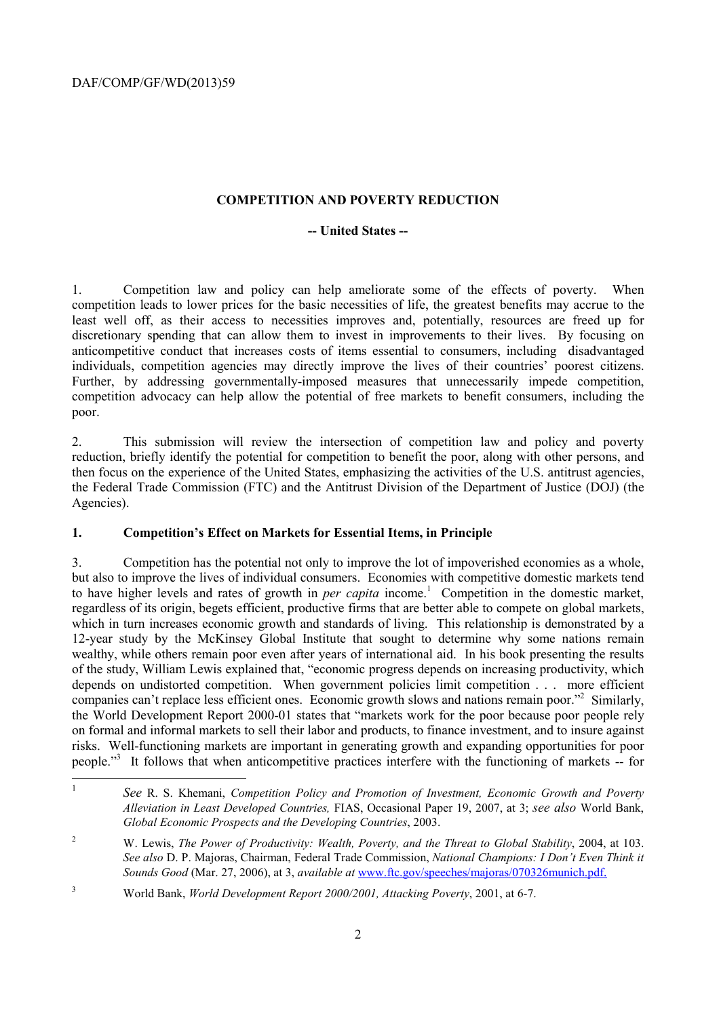$\overline{a}$ 

# **COMPETITION AND POVERTY REDUCTION**

#### **-- United States --**

 discretionary spending that can allow them to invest in improvements to their lives. By focusing on individuals, competition agencies may directly improve the lives of their countries' poorest citizens. 1. Competition law and policy can help ameliorate some of the effects of poverty. When competition leads to lower prices for the basic necessities of life, the greatest benefits may accrue to the least well off, as their access to necessities improves and, potentially, resources are freed up for anticompetitive conduct that increases costs of items essential to consumers, including disadvantaged Further, by addressing governmentally-imposed measures that unnecessarily impede competition, competition advocacy can help allow the potential of free markets to benefit consumers, including the poor.

2. This submission will review the intersection of competition law and policy and poverty reduction, briefly identify the potential for competition to benefit the poor, along with other persons, and then focus on the experience of the United States, emphasizing the activities of the U.S. antitrust agencies, the Federal Trade Commission (FTC) and the Antitrust Division of the Department of Justice (DOJ) (the Agencies).

## **1. Competition's Effect on Markets for Essential Items, in Principle**

3. Competition has the potential not only to improve the lot of impoverished economies as a whole, but also to improve the lives of individual consumers. Economies with competitive domestic markets tend to have higher levels and rates of growth in *per capita* income.<sup>1</sup> Competition in the domestic market, regardless of its origin, begets efficient, productive firms that are better able to compete on global markets, which in turn increases economic growth and standards of living. This relationship is demonstrated by a 12-year study by the McKinsey Global Institute that sought to determine why some nations remain wealthy, while others remain poor even after years of international aid. In his book presenting the results of the study, William Lewis explained that, "economic progress depends on increasing productivity, which depends on undistorted competition. When government policies limit competition . . . more efficient companies can't replace less efficient ones. Economic growth slows and nations remain poor."<sup>2</sup> Similarly, the World Development Report 2000-01 states that "markets work for the poor because poor people rely on formal and informal markets to sell their labor and products, to finance investment, and to insure against risks. Well-functioning markets are important in generating growth and expanding opportunities for poor people."<sup>3</sup> It follows that when anticompetitive practices interfere with the functioning of markets -- for

<sup>1</sup>*See* R. S. Khemani, *Competition Policy and Promotion of Investment, Economic Growth and Poverty Alleviation in Least Developed Countries,* FIAS, Occasional Paper 19, 2007, at 3; *see also* World Bank, *Global Economic Prospects and the Developing Countries*, 2003.

 $\overline{c}$ 2 W. Lewis, *The Power of Productivity: Wealth, Poverty, and the Threat to Global Stability*, 2004, at 103. *See also* D. P. Majoras, Chairman, Federal Trade Commission, *National Champions: I Don't Even Think it Sounds Good* (Mar. 27, 2006), at 3, *available at* www.ftc.gov/speeches/majoras/070326munich.pdf.

<sup>3</sup> World Bank, *World Development Report 2000/2001, Attacking Poverty*, 2001, at 6-7.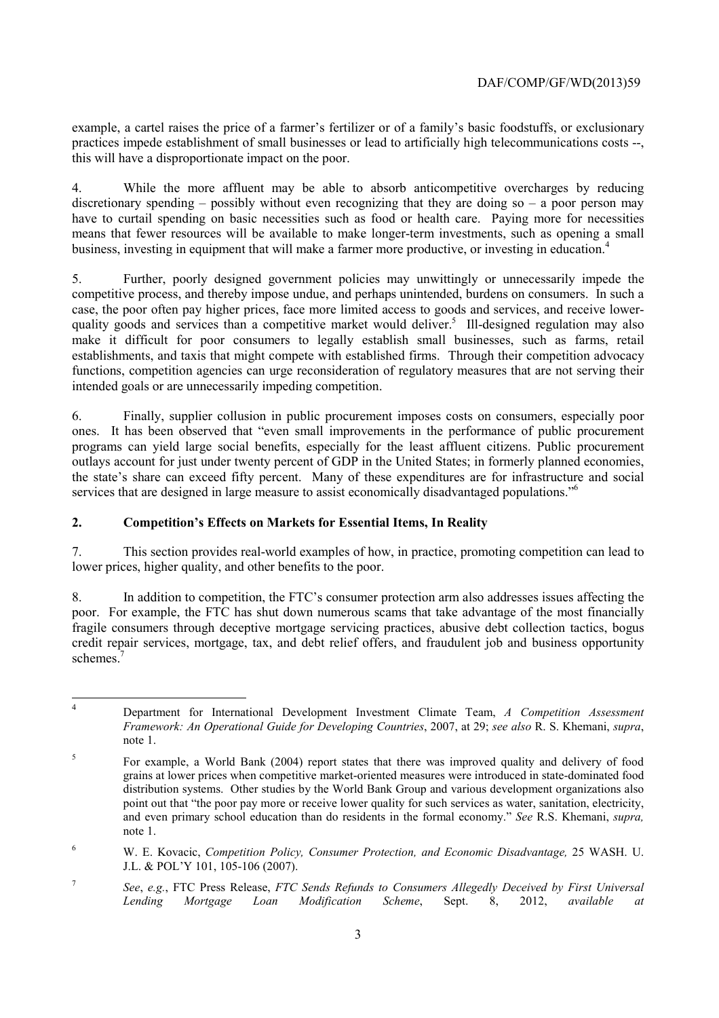example, a cartel raises the price of a farmer's fertilizer or of a family's basic foodstuffs, or exclusionary practices impede establishment of small businesses or lead to artificially high telecommunications costs --, this will have a disproportionate impact on the poor.

4. While the more affluent may be able to absorb anticompetitive overcharges by reducing discretionary spending – possibly without even recognizing that they are doing so – a poor person may have to curtail spending on basic necessities such as food or health care. Paying more for necessities means that fewer resources will be available to make longer-term investments, such as opening a small business, investing in equipment that will make a farmer more productive, or investing in education.4

quality goods and services than a competitive market would deliver.<sup>5</sup> Ill-designed regulation may also make it difficult for poor consumers to legally establish small businesses, such as farms, retail 5. Further, poorly designed government policies may unwittingly or unnecessarily impede the competitive process, and thereby impose undue, and perhaps unintended, burdens on consumers. In such a case, the poor often pay higher prices, face more limited access to goods and services, and receive lowerestablishments, and taxis that might compete with established firms. Through their competition advocacy functions, competition agencies can urge reconsideration of regulatory measures that are not serving their intended goals or are unnecessarily impeding competition.

 programs can yield large social benefits, especially for the least affluent citizens. Public procurement services that are designed in large measure to assist economically disadvantaged populations."<sup>6</sup> 6. Finally, supplier collusion in public procurement imposes costs on consumers, especially poor ones. It has been observed that "even small improvements in the performance of public procurement outlays account for just under twenty percent of GDP in the United States; in formerly planned economies, the state's share can exceed fifty percent. Many of these expenditures are for infrastructure and social

# **2. Competition's Effects on Markets for Essential Items, In Reality**

 $\overline{a}$ 

7. This section provides real-world examples of how, in practice, promoting competition can lead to lower prices, higher quality, and other benefits to the poor.

 credit repair services, mortgage, tax, and debt relief offers, and fraudulent job and business opportunity 8. In addition to competition, the FTC's consumer protection arm also addresses issues affecting the poor. For example, the FTC has shut down numerous scams that take advantage of the most financially fragile consumers through deceptive mortgage servicing practices, abusive debt collection tactics, bogus schemes.<sup>7</sup>

note 1. 4 Department for International Development Investment Climate Team, *A Competition Assessment Framework: An Operational Guide for Developing Countries*, 2007, at 29; *see also* R. S. Khemani, *supra*,

 point out that "the poor pay more or receive lower quality for such services as water, sanitation, electricity, <sup>5</sup> For example, a World Bank (2004) report states that there was improved quality and delivery of food grains at lower prices when competitive market-oriented measures were introduced in state-dominated food distribution systems. Other studies by the World Bank Group and various development organizations also and even primary school education than do residents in the formal economy." *See* R.S. Khemani, *supra,*  note 1.

<sup>6</sup> W. E. Kovacic, *Competition Policy, Consumer Protection, and Economic Disadvantage,* 25 WASH. U. J.L. & POL'Y 101, 105-106 (2007).

<sup>7</sup>*See*, *e.g.*, FTC Press Release, *FTC Sends Refunds to Consumers Allegedly Deceived by First Universal Lending Mortgage Loan Modification Scheme*, Sept. 8, 2012, *available at*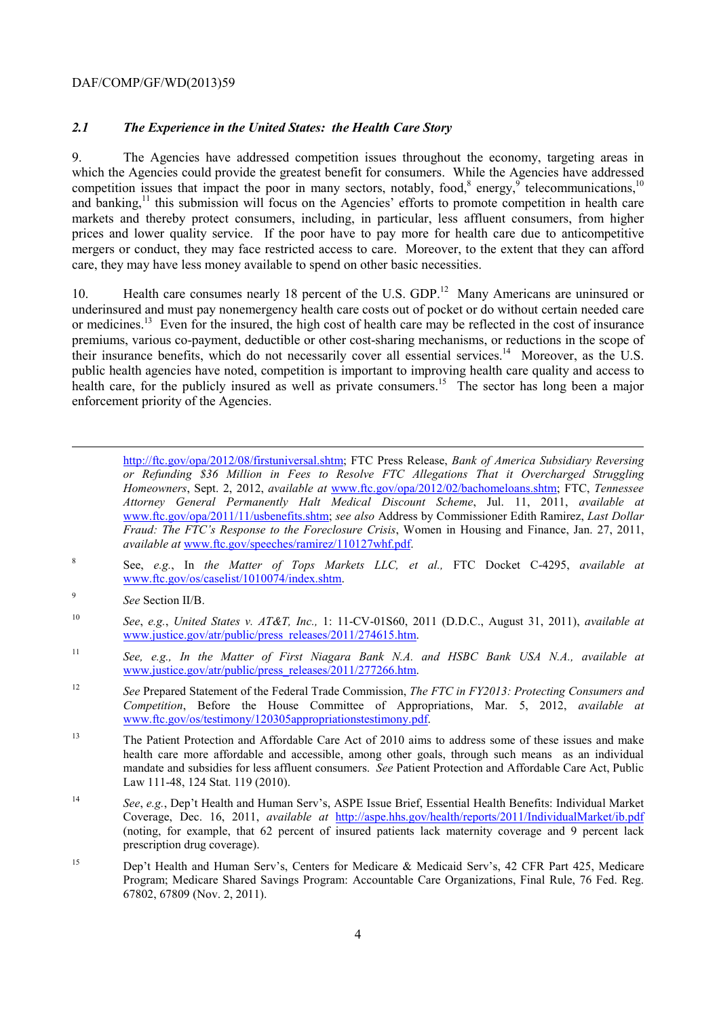# *2.1 The Experience in the United States: the Health Care Story*

 mergers or conduct, they may face restricted access to care. Moreover, to the extent that they can afford care, they may have less money available to spend on other basic necessities. 9. The Agencies have addressed competition issues throughout the economy, targeting areas in which the Agencies could provide the greatest benefit for consumers. While the Agencies have addressed competition issues that impact the poor in many sectors, notably, food, $8$  energy, $9$  telecommunications,  $10$ and banking,<sup>11</sup> this submission will focus on the Agencies' efforts to promote competition in health care markets and thereby protect consumers, including, in particular, less affluent consumers, from higher prices and lower quality service. If the poor have to pay more for health care due to anticompetitive

 premiums, various co-payment, deductible or other cost-sharing mechanisms, or reductions in the scope of 10. Health care consumes nearly 18 percent of the U.S. GDP.<sup>12</sup> Many Americans are uninsured or underinsured and must pay nonemergency health care costs out of pocket or do without certain needed care or medicines.<sup>13</sup> Even for the insured, the high cost of health care may be reflected in the cost of insurance their insurance benefits, which do not necessarily cover all essential services.<sup>14</sup> Moreover, as the U.S. public health agencies have noted, competition is important to improving health care quality and access to health care, for the publicly insured as well as private consumers.<sup>15</sup> The sector has long been a major enforcement priority of the Agencies.

http://ftc.gov/opa/2012/08/firstuniversal.shtm; FTC Press Release, *Bank of America Subsidiary Reversing or Refunding \$36 Million in Fees to Resolve FTC Allegations That it Overcharged Struggling Homeowners*, Sept. 2, 2012, *available at* www.ftc.gov/opa/2012/02/bachomeloans.shtm; FTC, *Tennessee Attorney General Permanently Halt Medical Discount Scheme*, Jul. 11, 2011, *available at*  www.ftc.gov/opa/2011/11/usbenefits.shtm; *see also* Address by Commissioner Edith Ramirez, *Last Dollar Fraud: The FTC's Response to the Foreclosure Crisis*, Women in Housing and Finance, Jan. 27, 2011, *available at* www.ftc.gov/speeches/ramirez/110127whf.pdf.

- 8 See, *e.g.*, In *the Matter of Tops Markets LLC, et al.,* FTC Docket C-4295, *available at*  www.ftc.gov/os/caselist/1010074/index.shtm.
- <sup>9</sup>*See* Section II/B.

-

- $10$ <sup>10</sup>*See*, *e.g.*, *United States v. AT&T, Inc.,* 1: 11-CV-01S60, 2011 (D.D.C., August 31, 2011), *available at*  www.justice.gov/atr/public/press\_releases/2011/274615.htm.
- $11$ <sup>11</sup>*See, e.g., In the Matter of First Niagara Bank N.A. and HSBC Bank USA N.A., available at*  www.justice.gov/atr/public/press\_releases/2011/277266.htm.
- *Competition*, Before the House Committee of Appropriations, Mar. 5, 2012, *available at* <sup>12</sup>*See* Prepared Statement of the Federal Trade Commission, *The FTC in FY2013: Protecting Consumers and*  www.ftc.gov/os/testimony/120305appropriationstestimony.pdf.
- $13$  health care more affordable and accessible, among other goals, through such means as an individual mandate and subsidies for less affluent consumers. *See* Patient Protection and Affordable Care Act, Public 13 The Patient Protection and Affordable Care Act of 2010 aims to address some of these issues and make Law 111-48, 124 Stat. 119 (2010).
- prescription drug coverage). <sup>14</sup>*See*, *e.g.*, Dep't Health and Human Serv's, ASPE Issue Brief, Essential Health Benefits: Individual Market Coverage, Dec. 16, 2011, *available at* http://aspe.hhs.gov/health/reports/2011/IndividualMarket/ib.pdf (noting, for example, that 62 percent of insured patients lack maternity coverage and 9 percent lack
- <sup>15</sup> Dep't Health and Human Serv's, Centers for Medicare & Medicaid Serv's, 42 CFR Part 425, Medicare Program; Medicare Shared Savings Program: Accountable Care Organizations, Final Rule, 76 Fed. Reg. 67802, 67809 (Nov. 2, 2011).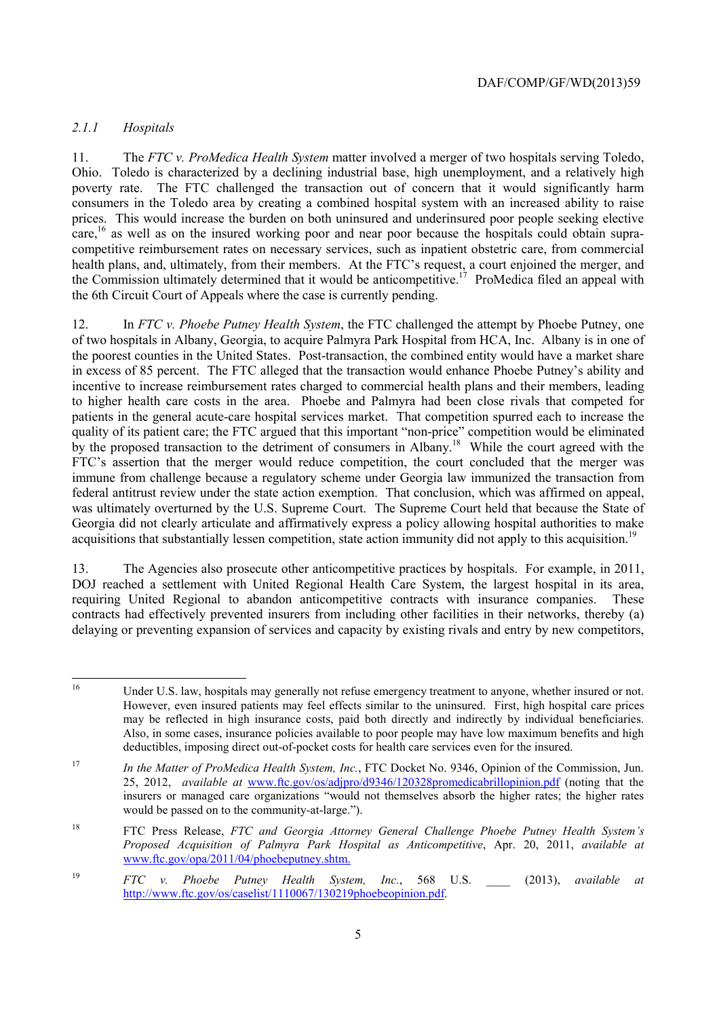# *2.1.1 Hospitals*

11. The *FTC v. ProMedica Health System* matter involved a merger of two hospitals serving Toledo, Ohio. Toledo is characterized by a declining industrial base, high unemployment, and a relatively high poverty rate. The FTC challenged the transaction out of concern that it would significantly harm consumers in the Toledo area by creating a combined hospital system with an increased ability to raise prices. This would increase the burden on both uninsured and underinsured poor people seeking elective care,<sup>16</sup> as well as on the insured working poor and near poor because the hospitals could obtain supracompetitive reimbursement rates on necessary services, such as inpatient obstetric care, from commercial health plans, and, ultimately, from their members. At the FTC's request, a court enjoined the merger, and the Commission ultimately determined that it would be anticompetitive.<sup>17</sup> ProMedica filed an appeal with the 6th Circuit Court of Appeals where the case is currently pending.

acquisitions that substantially lessen competition, state action immunity did not apply to this acquisition.<sup>19</sup> 12. In *FTC v. Phoebe Putney Health System*, the FTC challenged the attempt by Phoebe Putney, one of two hospitals in Albany, Georgia, to acquire Palmyra Park Hospital from HCA, Inc. Albany is in one of the poorest counties in the United States. Post-transaction, the combined entity would have a market share in excess of 85 percent. The FTC alleged that the transaction would enhance Phoebe Putney's ability and incentive to increase reimbursement rates charged to commercial health plans and their members, leading to higher health care costs in the area. Phoebe and Palmyra had been close rivals that competed for patients in the general acute-care hospital services market. That competition spurred each to increase the quality of its patient care; the FTC argued that this important "non-price" competition would be eliminated by the proposed transaction to the detriment of consumers in Albany.<sup>18</sup> While the court agreed with the FTC's assertion that the merger would reduce competition, the court concluded that the merger was immune from challenge because a regulatory scheme under Georgia law immunized the transaction from federal antitrust review under the state action exemption. That conclusion, which was affirmed on appeal, was ultimately overturned by the U.S. Supreme Court. The Supreme Court held that because the State of Georgia did not clearly articulate and affirmatively express a policy allowing hospital authorities to make

 DOJ reached a settlement with United Regional Health Care System, the largest hospital in its area, 13. The Agencies also prosecute other anticompetitive practices by hospitals. For example, in 2011, requiring United Regional to abandon anticompetitive contracts with insurance companies. These contracts had effectively prevented insurers from including other facilities in their networks, thereby (a) delaying or preventing expansion of services and capacity by existing rivals and entry by new competitors,

 $16$  However, even insured patients may feel effects similar to the uninsured. First, high hospital care prices may be reflected in high insurance costs, paid both directly and indirectly by individual beneficiaries. may be reflected in high insurance costs, paid both directly and indirectly by individual beneficiaries. Also, in some cases, insurance policies available to poor people may have low maximum benefits and high Under U.S. law, hospitals may generally not refuse emergency treatment to anyone, whether insured or not. deductibles, imposing direct out-of-pocket costs for health care services even for the insured.

<sup>17</sup>*In the Matter of ProMedica Health System, Inc.*, FTC Docket No. 9346, Opinion of the Commission, Jun. 25, 2012, *available at* www.ftc.gov/os/adjpro/d9346/120328promedicabrillopinion.pdf (noting that the insurers or managed care organizations "would not themselves absorb the higher rates; the higher rates would be passed on to the community-at-large.").

 *Proposed Acquisition of Palmyra Park Hospital as Anticompetitive*, Apr. 20, 2011, *available at* 18 FTC Press Release, *FTC and Georgia Attorney General Challenge Phoebe Putney Health System's* 

 www.ftc.gov/opa/2011/04/phoebeputney.shtm. 19 *FTC v. Phoebe Putney Health System, Inc.*, 568 U.S. \_\_\_\_ (2013), *available at*  http://www.ftc.gov/os/caselist/1110067/130219phoebeopinion.pdf.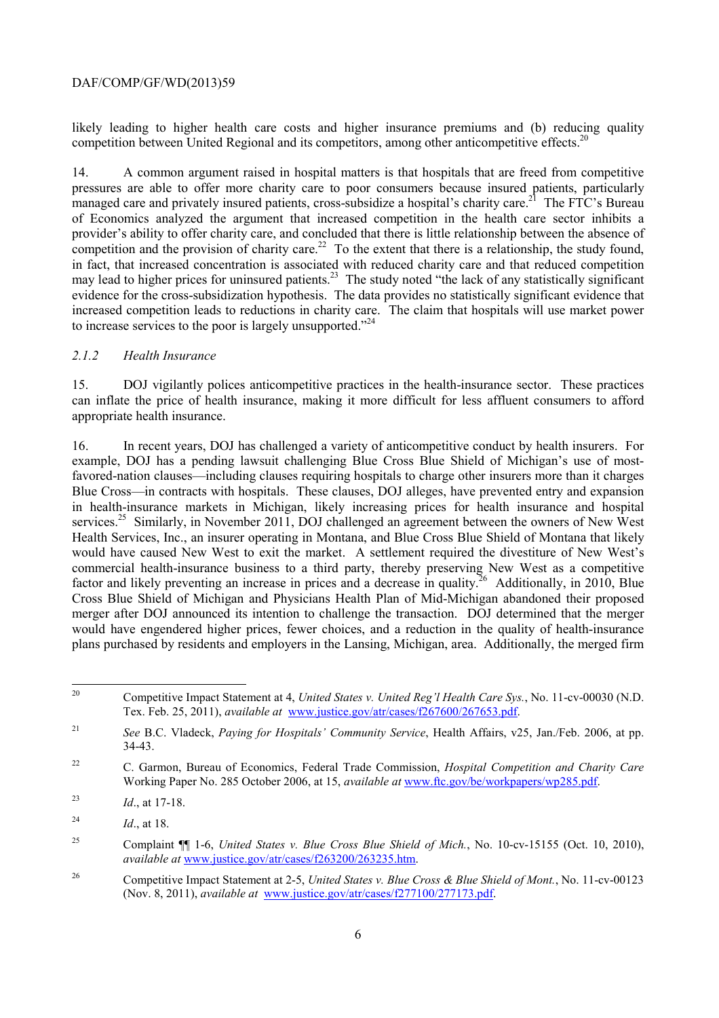competition between United Regional and its competitors, among other anticompetitive effects.<sup>20</sup> likely leading to higher health care costs and higher insurance premiums and (b) reducing quality

14. A common argument raised in hospital matters is that hospitals that are freed from competitive pressures are able to offer more charity care to poor consumers because insured patients, particularly managed care and privately insured patients, cross-subsidize a hospital's charity care.<sup>21</sup> The FTC's Bureau of Economics analyzed the argument that increased competition in the health care sector inhibits a provider's ability to offer charity care, and concluded that there is little relationship between the absence of competition and the provision of charity care.<sup>22</sup> To the extent that there is a relationship, the study found, in fact, that increased concentration is associated with reduced charity care and that reduced competition may lead to higher prices for uninsured patients.<sup>23</sup> The study noted "the lack of any statistically significant evidence for the cross-subsidization hypothesis. The data provides no statistically significant evidence that increased competition leads to reductions in charity care. The claim that hospitals will use market power to increase services to the poor is largely unsupported."<sup>24</sup>

# *2.1.2 Health Insurance*

15. DOJ vigilantly polices anticompetitive practices in the health-insurance sector. These practices can inflate the price of health insurance, making it more difficult for less affluent consumers to afford appropriate health insurance.

 Health Services, Inc., an insurer operating in Montana, and Blue Cross Blue Shield of Montana that likely 16. In recent years, DOJ has challenged a variety of anticompetitive conduct by health insurers. For example, DOJ has a pending lawsuit challenging Blue Cross Blue Shield of Michigan's use of mostfavored-nation clauses—including clauses requiring hospitals to charge other insurers more than it charges Blue Cross—in contracts with hospitals. These clauses, DOJ alleges, have prevented entry and expansion in health-insurance markets in Michigan, likely increasing prices for health insurance and hospital services.<sup>25</sup> Similarly, in November 2011, DOJ challenged an agreement between the owners of New West would have caused New West to exit the market. A settlement required the divestiture of New West's commercial health-insurance business to a third party, thereby preserving New West as a competitive factor and likely preventing an increase in prices and a decrease in quality.26 Additionally, in 2010, Blue Cross Blue Shield of Michigan and Physicians Health Plan of Mid-Michigan abandoned their proposed merger after DOJ announced its intention to challenge the transaction. DOJ determined that the merger would have engendered higher prices, fewer choices, and a reduction in the quality of health-insurance plans purchased by residents and employers in the Lansing, Michigan, area. Additionally, the merged firm

 $\overline{a}$ 

<sup>20</sup> Competitive Impact Statement at 4, *United States v. United Reg'l Health Care Sys.*, No. 11-cv-00030 (N.D. Tex. Feb. 25, 2011), *available at* www.justice.gov/atr/cases/f267600/267653.pdf.

<sup>21</sup>*See* B.C. Vladeck, *Paying for Hospitals' Community Service*, Health Affairs, v25, Jan./Feb. 2006, at pp. 34-43.

<sup>22</sup> C. Garmon, Bureau of Economics, Federal Trade Commission, *Hospital Competition and Charity Care*  Working Paper No. 285 October 2006, at 15, *available at* www.ftc.gov/be/workpapers/wp285.pdf.

 $23$ *Id.*, at 17-18.

<sup>24</sup>*Id*., at 18.

<sup>25</sup> 25 Complaint ¶¶ 1-6, *United States v. Blue Cross Blue Shield of Mich.*, No. 10-cv-15155 (Oct. 10, 2010), *available at* www.justice.gov/atr/cases/f263200/263235.htm.

<sup>26</sup> Competitive Impact Statement at 2-5, *United States v. Blue Cross & Blue Shield of Mont.*, No. 11-cv-00123 (Nov. 8, 2011), *available at* www.justice.gov/atr/cases/f277100/277173.pdf.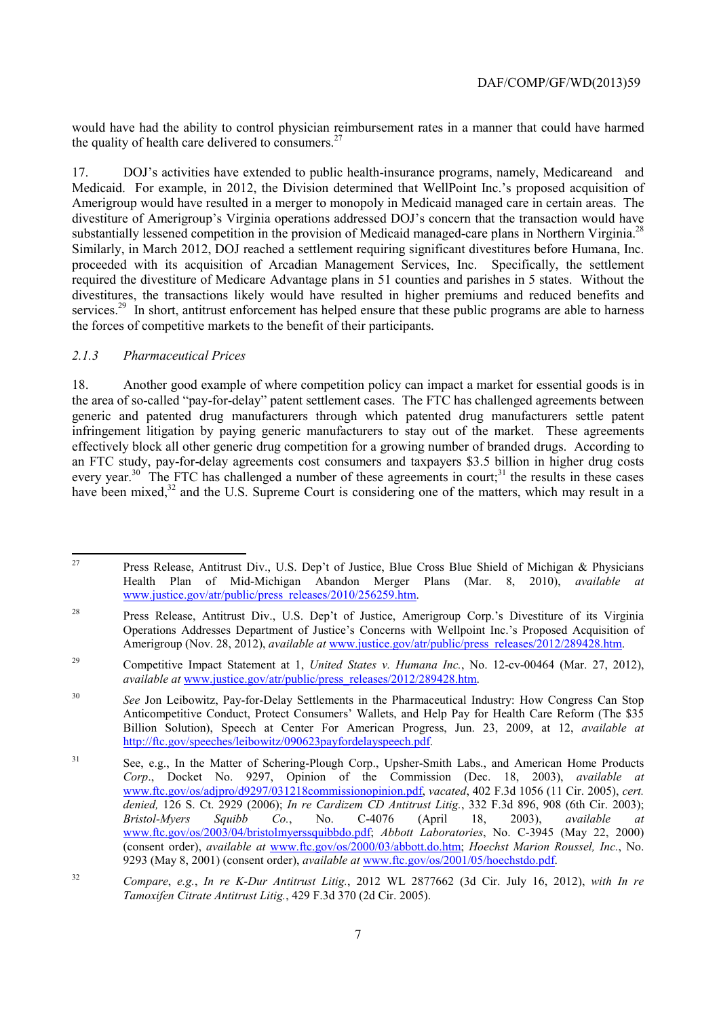would have had the ability to control physician reimbursement rates in a manner that could have harmed the quality of health care delivered to consumers. $27$ 

substantially lessened competition in the provision of Medicaid managed-care plans in Northern Virginia.<sup>28</sup> 17. DOJ's activities have extended to public health-insurance programs, namely, Medicareand and Medicaid. For example, in 2012, the Division determined that WellPoint Inc.'s proposed acquisition of Amerigroup would have resulted in a merger to monopoly in Medicaid managed care in certain areas. The divestiture of Amerigroup's Virginia operations addressed DOJ's concern that the transaction would have Similarly, in March 2012, DOJ reached a settlement requiring significant divestitures before Humana, Inc. proceeded with its acquisition of Arcadian Management Services, Inc. Specifically, the settlement required the divestiture of Medicare Advantage plans in 51 counties and parishes in 5 states. Without the divestitures, the transactions likely would have resulted in higher premiums and reduced benefits and services.<sup>29</sup> In short, antitrust enforcement has helped ensure that these public programs are able to harness the forces of competitive markets to the benefit of their participants.

## *2.1.3 Pharmaceutical Prices*

 $\overline{a}$ 

 18. Another good example of where competition policy can impact a market for essential goods is in the area of so-called "pay-for-delay" patent settlement cases. The FTC has challenged agreements between generic and patented drug manufacturers through which patented drug manufacturers settle patent infringement litigation by paying generic manufacturers to stay out of the market. These agreements effectively block all other generic drug competition for a growing number of branded drugs. According to an FTC study, pay-for-delay agreements cost consumers and taxpayers \$3.5 billion in higher drug costs every year.<sup>30</sup> The FTC has challenged a number of these agreements in court;<sup>31</sup> the results in these cases have been mixed,<sup>32</sup> and the U.S. Supreme Court is considering one of the matters, which may result in a

<sup>27</sup> Press Release, Antitrust Div., U.S. Dep't of Justice, Blue Cross Blue Shield of Michigan & Physicians Health Plan of Mid-Michigan Abandon Merger Plans (Mar. 8, 2010), *available at*  www.justice.gov/atr/public/press\_releases/2010/256259.htm.

<sup>28</sup> Press Release, Antitrust Div., U.S. Dep't of Justice, Amerigroup Corp.'s Divestiture of its Virginia Operations Addresses Department of Justice's Concerns with Wellpoint Inc.'s Proposed Acquisition of Amerigroup (Nov. 28, 2012), *available at* www.justice.gov/atr/public/press\_releases/2012/289428.htm.

<sup>29</sup> Competitive Impact Statement at 1, *United States v. Humana Inc.*, No. 12-cv-00464 (Mar. 27, 2012), *available at* www.justice.gov/atr/public/press\_releases/2012/289428.htm.

<sup>30</sup> Anticompetitive Conduct, Protect Consumers' Wallets, and Help Pay for Health Care Reform (The \$35 <sup>30</sup>*See* Jon Leibowitz, Pay-for-Delay Settlements in the Pharmaceutical Industry: How Congress Can Stop Billion Solution), Speech at Center For American Progress, Jun. 23, 2009, at 12, *available at* http://ftc.gov/speeches/leibowitz/090623payfordelayspeech.pdf.

 *Corp*., Docket No. 9297, Opinion of the Commission (Dec. 18, 2003), *available at* <sup>31</sup> See, e.g., In the Matter of Schering-Plough Corp., Upsher-Smith Labs., and American Home Products www.ftc.gov/os/adjpro/d9297/031218commissionopinion.pdf, *vacated*, 402 F.3d 1056 (11 Cir. 2005), *cert. denied,* 126 S. Ct. 2929 (2006); *In re Cardizem CD Antitrust Litig.*, 332 F.3d 896, 908 (6th Cir. 2003); *Bristol-Myers Squibb Co.*, No. C-4076 (April 18, 2003), *available at*  www.ftc.gov/os/2003/04/bristolmyerssquibbdo.pdf; *Abbott Laboratories*, No. C-3945 (May 22, 2000) (consent order), *available at* www.ftc.gov/os/2000/03/abbott.do.htm; *Hoechst Marion Roussel, Inc.*, No. 9293 (May 8, 2001) (consent order), *available at* www.ftc.gov/os/2001/05/hoechstdo.pdf.

 $32$  *Tamoxifen Citrate Antitrust Litig.*, 429 F.3d 370 (2d Cir. 2005). 7 <sup>32</sup>*Compare*, *e.g.*, *In re K-Dur Antitrust Litig.*, 2012 WL 2877662 (3d Cir. July 16, 2012), *with In re*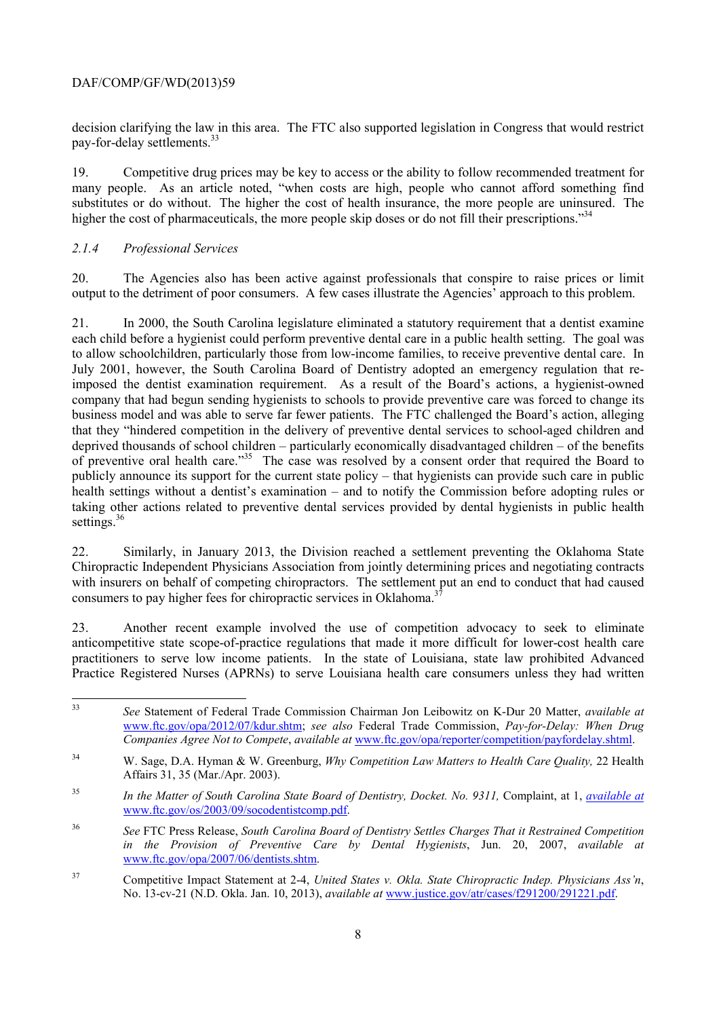decision clarifying the law in this area. The FTC also supported legislation in Congress that would restrict pay-for-delay settlements.<sup>33</sup>

 substitutes or do without. The higher the cost of health insurance, the more people are uninsured. The 19. Competitive drug prices may be key to access or the ability to follow recommended treatment for many people. As an article noted, "when costs are high, people who cannot afford something find higher the cost of pharmaceuticals, the more people skip doses or do not fill their prescriptions."<sup>34</sup>

# *2.1.4 Professional Services*

20. The Agencies also has been active against professionals that conspire to raise prices or limit output to the detriment of poor consumers. A few cases illustrate the Agencies' approach to this problem.

 each child before a hygienist could perform preventive dental care in a public health setting. The goal was company that had begun sending hygienists to schools to provide preventive care was forced to change its 21. In 2000, the South Carolina legislature eliminated a statutory requirement that a dentist examine to allow schoolchildren, particularly those from low-income families, to receive preventive dental care. In July 2001, however, the South Carolina Board of Dentistry adopted an emergency regulation that reimposed the dentist examination requirement. As a result of the Board's actions, a hygienist-owned business model and was able to serve far fewer patients. The FTC challenged the Board's action, alleging that they "hindered competition in the delivery of preventive dental services to school-aged children and deprived thousands of school children – particularly economically disadvantaged children – of the benefits of preventive oral health care."35 The case was resolved by a consent order that required the Board to publicly announce its support for the current state policy – that hygienists can provide such care in public health settings without a dentist's examination – and to notify the Commission before adopting rules or taking other actions related to preventive dental services provided by dental hygienists in public health settings.<sup>36</sup>

22. Similarly, in January 2013, the Division reached a settlement preventing the Oklahoma State Chiropractic Independent Physicians Association from jointly determining prices and negotiating contracts with insurers on behalf of competing chiropractors. The settlement put an end to conduct that had caused consumers to pay higher fees for chiropractic services in Oklahoma.<sup>3</sup>

23. Another recent example involved the use of competition advocacy to seek to eliminate anticompetitive state scope-of-practice regulations that made it more difficult for lower-cost health care practitioners to serve low income patients. In the state of Louisiana, state law prohibited Advanced Practice Registered Nurses (APRNs) to serve Louisiana health care consumers unless they had written

- 36 <sup>36</sup>*See* FTC Press Release, *South Carolina Board of Dentistry Settles Charges That it Restrained Competition in the Provision of Preventive Care by Dental Hygienists*, Jun. 20, 2007, *available at*  www.ftc.gov/opa/2007/06/dentists.shtm.
- 37 Competitive Impact Statement at 2-4, *United States v. Okla. State Chiropractic Indep. Physicians Ass'n*, No. 13-cv-21 (N.D. Okla. Jan. 10, 2013), *available at* www.justice.gov/atr/cases/f291200/291221.pdf.

 $\overline{a}$ <sup>33</sup>*See* Statement of Federal Trade Commission Chairman Jon Leibowitz on K-Dur 20 Matter, *available at*  www.ftc.gov/opa/2012/07/kdur.shtm; *see also* Federal Trade Commission, *Pay-for-Delay: When Drug Companies Agree Not to Compete*, *available at* www.ftc.gov/opa/reporter/competition/payfordelay.shtml.

 $34$ 34 W. Sage, D.A. Hyman & W. Greenburg, *Why Competition Law Matters to Health Care Quality,* 22 Health Affairs 31, 35 (Mar./Apr. 2003).

<sup>35</sup>*In the Matter of South Carolina State Board of Dentistry, Docket. No. 9311,* Complaint, at 1, *available at*  www.ftc.gov/os/2003/09/socodentistcomp.pdf.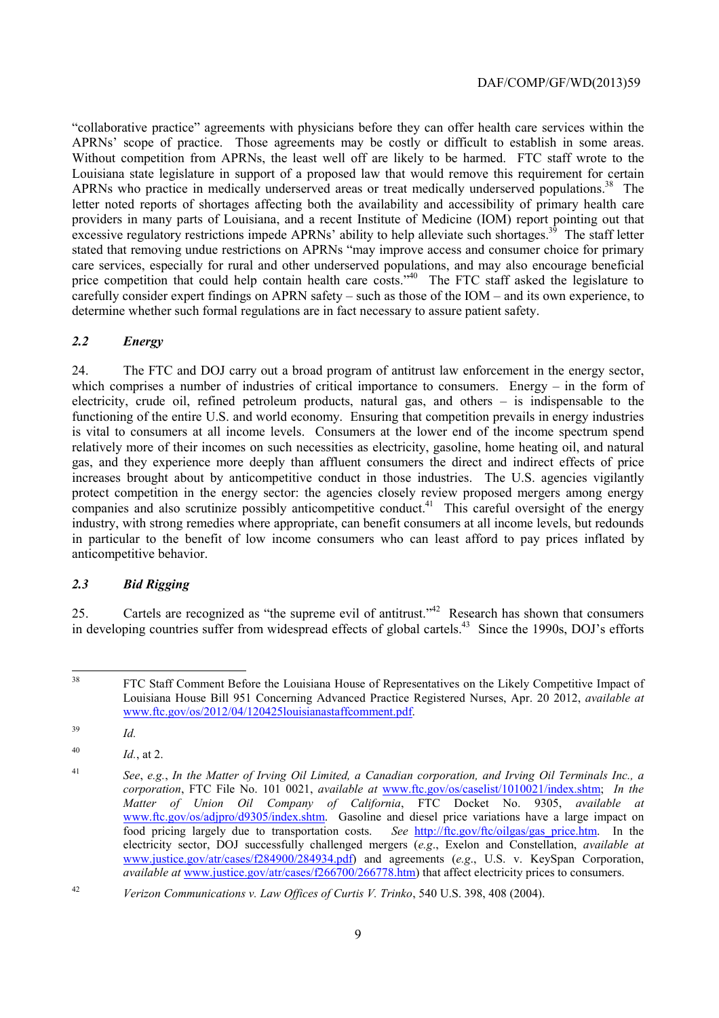APRNs' scope of practice. Those agreements may be costly or difficult to establish in some areas. "collaborative practice" agreements with physicians before they can offer health care services within the Without competition from APRNs, the least well off are likely to be harmed. FTC staff wrote to the Louisiana state legislature in support of a proposed law that would remove this requirement for certain APRNs who practice in medically underserved areas or treat medically underserved populations.<sup>38</sup> The letter noted reports of shortages affecting both the availability and accessibility of primary health care providers in many parts of Louisiana, and a recent Institute of Medicine (IOM) report pointing out that excessive regulatory restrictions impede APRNs' ability to help alleviate such shortages.<sup>39</sup> The staff letter stated that removing undue restrictions on APRNs "may improve access and consumer choice for primary care services, especially for rural and other underserved populations, and may also encourage beneficial price competition that could help contain health care costs."<sup>40</sup> The FTC staff asked the legislature to carefully consider expert findings on APRN safety – such as those of the IOM – and its own experience, to determine whether such formal regulations are in fact necessary to assure patient safety.

# *2.2 Energy*

24. The FTC and DOJ carry out a broad program of antitrust law enforcement in the energy sector, which comprises a number of industries of critical importance to consumers. Energy – in the form of electricity, crude oil, refined petroleum products, natural gas, and others – is indispensable to the functioning of the entire U.S. and world economy. Ensuring that competition prevails in energy industries is vital to consumers at all income levels. Consumers at the lower end of the income spectrum spend relatively more of their incomes on such necessities as electricity, gasoline, home heating oil, and natural gas, and they experience more deeply than affluent consumers the direct and indirect effects of price increases brought about by anticompetitive conduct in those industries. The U.S. agencies vigilantly protect competition in the energy sector: the agencies closely review proposed mergers among energy companies and also scrutinize possibly anticompetitive conduct.<sup>41</sup> This careful oversight of the energy industry, with strong remedies where appropriate, can benefit consumers at all income levels, but redounds in particular to the benefit of low income consumers who can least afford to pay prices inflated by anticompetitive behavior.

## *2.3 Bid Rigging*

25. Cartels are recognized as "the supreme evil of antitrust."<sup>42</sup> Research has shown that consumers in developing countries suffer from widespread effects of global cartels.<sup>43</sup> Since the 1990s, DOJ's efforts

<sup>38</sup> FTC Staff Comment Before the Louisiana House of Representatives on the Likely Competitive Impact of Louisiana House Bill 951 Concerning Advanced Practice Registered Nurses, Apr. 20 2012, *available at*  www.ftc.gov/os/2012/04/120425louisianastaffcomment.pdf.

<sup>39</sup>*Id.* 

<sup>40</sup> *Id.*, at 2.

food pricing largely due to transportation costs. *available at www.justice.gov/atr/cases/f266700/266778.htm)* that affect electricity prices to consumers. <sup>41</sup>*See*, *e.g.*, *In the Matter of Irving Oil Limited, a Canadian corporation, and Irving Oil Terminals Inc., a corporation*, FTC File No. 101 0021, *available at* www.ftc.gov/os/caselist/1010021/index.shtm; *In the Matter of Union Oil Company of California*, FTC Docket No. 9305, *available at*  www.ftc.gov/os/adjpro/d9305/index.shtm. Gasoline and diesel price variations have a large impact on See http://ftc.gov/ftc/oilgas/gas price.htm. In the electricity sector, DOJ successfully challenged mergers (*e.g*., Exelon and Constellation, *available at*  www.justice.gov/atr/cases/f284900/284934.pdf) and agreements (*e.g*., U.S. v. KeySpan Corporation,

<sup>&</sup>lt;sup>42</sup> *Verizon Communications v. Law Offices of Curtis V. Trinko, 540 U.S. 398, 408 (2004).*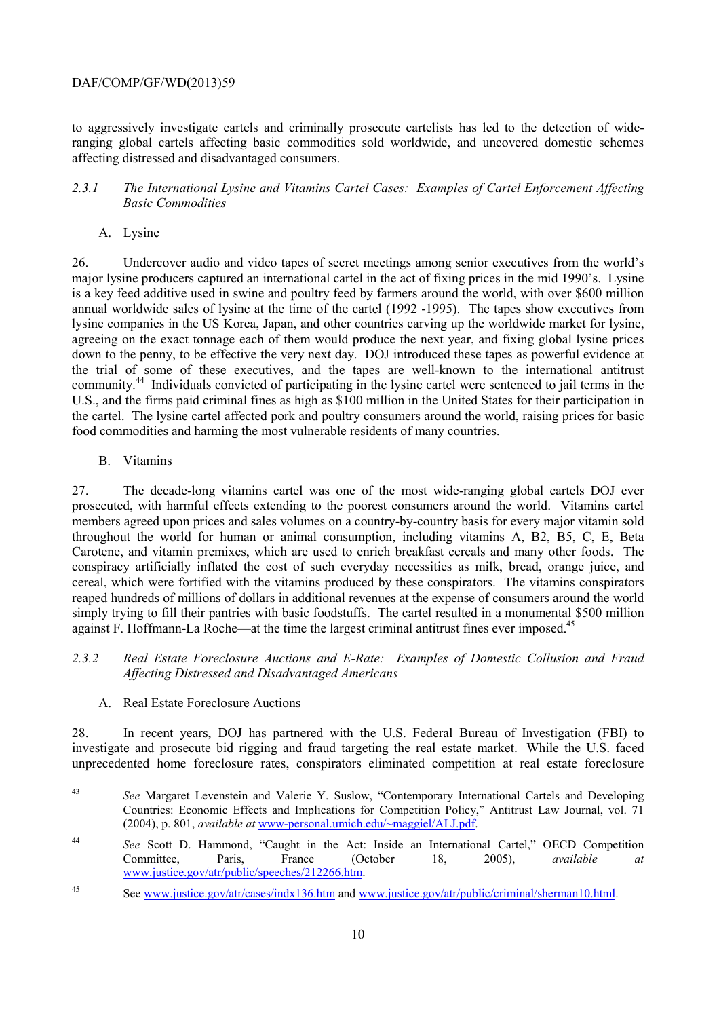to aggressively investigate cartels and criminally prosecute cartelists has led to the detection of wideranging global cartels affecting basic commodities sold worldwide, and uncovered domestic schemes affecting distressed and disadvantaged consumers.

## *2.3.1 The International Lysine and Vitamins Cartel Cases: Examples of Cartel Enforcement Affecting Basic Commodities*

A. Lysine

 annual worldwide sales of lysine at the time of the cartel (1992 -1995). The tapes show executives from food commodities and harming the most vulnerable residents of many countries. B. Vitamins 26. Undercover audio and video tapes of secret meetings among senior executives from the world's major lysine producers captured an international cartel in the act of fixing prices in the mid 1990's. Lysine is a key feed additive used in swine and poultry feed by farmers around the world, with over \$600 million lysine companies in the US Korea, Japan, and other countries carving up the worldwide market for lysine, agreeing on the exact tonnage each of them would produce the next year, and fixing global lysine prices down to the penny, to be effective the very next day. DOJ introduced these tapes as powerful evidence at the trial of some of these executives, and the tapes are well-known to the international antitrust community.44 Individuals convicted of participating in the lysine cartel were sentenced to jail terms in the U.S., and the firms paid criminal fines as high as \$100 million in the United States for their participation in the cartel. The lysine cartel affected pork and poultry consumers around the world, raising prices for basic

 conspiracy artificially inflated the cost of such everyday necessities as milk, bread, orange juice, and against F. Hoffmann-La Roche—at the time the largest criminal antitrust fines ever imposed.<sup>45</sup> 27. The decade-long vitamins cartel was one of the most wide-ranging global cartels DOJ ever prosecuted, with harmful effects extending to the poorest consumers around the world. Vitamins cartel members agreed upon prices and sales volumes on a country-by-country basis for every major vitamin sold throughout the world for human or animal consumption, including vitamins A, B2, B5, C, E, Beta Carotene, and vitamin premixes, which are used to enrich breakfast cereals and many other foods. The cereal, which were fortified with the vitamins produced by these conspirators. The vitamins conspirators reaped hundreds of millions of dollars in additional revenues at the expense of consumers around the world simply trying to fill their pantries with basic foodstuffs. The cartel resulted in a monumental \$500 million

# *2.3.2 Real Estate Foreclosure Auctions and E-Rate: Examples of Domestic Collusion and Fraud Affecting Distressed and Disadvantaged Americans*

A. Real Estate Foreclosure Auctions

28. In recent years, DOJ has partnered with the U.S. Federal Bureau of Investigation (FBI) to investigate and prosecute bid rigging and fraud targeting the real estate market. While the U.S. faced unprecedented home foreclosure rates, conspirators eliminated competition at real estate foreclosure

<sup>44</sup>*See* Scott D. Hammond, "Caught in the Act: Inside an International Cartel," OECD Competition Committee, Paris, France (October 18, 2005), *available at*  www.justice.gov/atr/public/speeches/212266.htm.

<sup>-</sup><sup>43</sup>*See* Margaret Levenstein and Valerie Y. Suslow, "Contemporary International Cartels and Developing Countries: Economic Effects and Implications for Competition Policy," Antitrust Law Journal, vol. 71 (2004), p. 801, *available at* www-personal.umich.edu/~maggiel/ALJ.pdf.

<sup>45</sup> See www.justice.gov/atr/cases/indx136.htm and www.justice.gov/atr/public/criminal/sherman10.html.